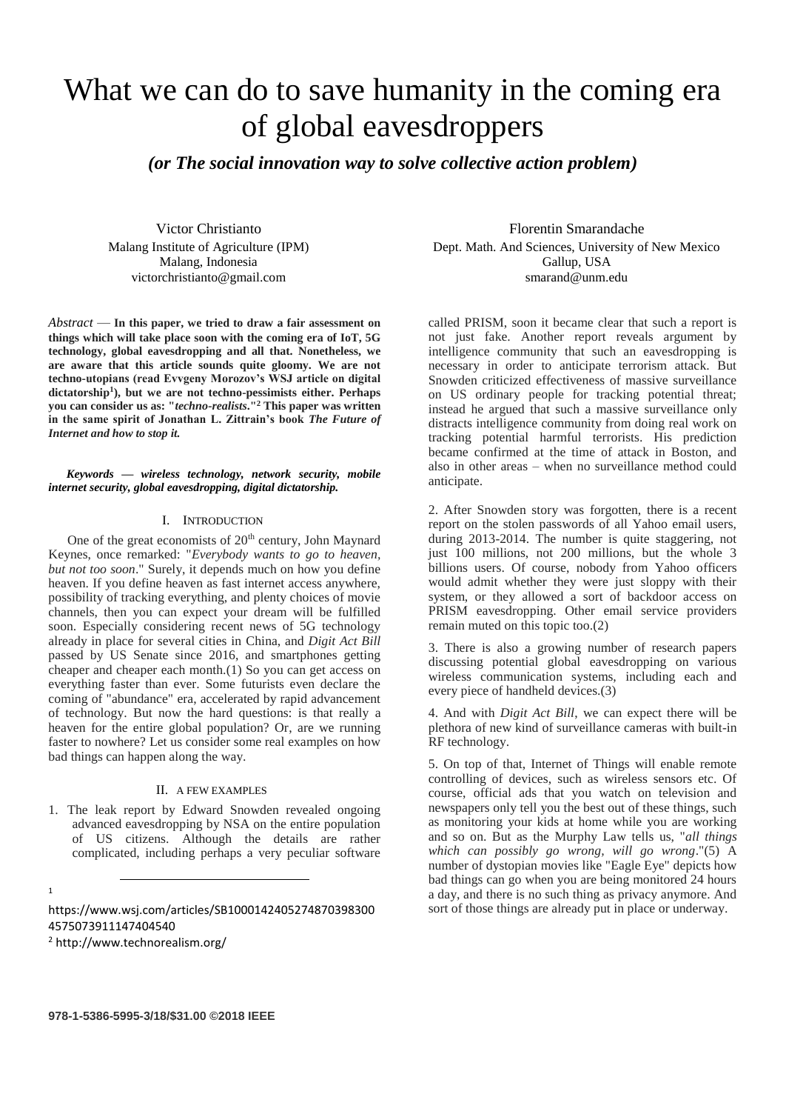# What we can do to save humanity in the coming era of global eavesdroppers

*(or The social innovation way to solve collective action problem)*

Victor Christianto Malang Institute of Agriculture (IPM) Malang, Indonesia victorchristianto@gmail.com

*Abstract* — **In this paper, we tried to draw a fair assessment on things which will take place soon with the coming era of IoT, 5G technology, global eavesdropping and all that. Nonetheless, we are aware that this article sounds quite gloomy. We are not techno-utopians (read Evvgeny Morozov's WSJ article on digital dictatorship<sup>1</sup> ), but we are not techno-pessimists either. Perhaps you can consider us as: "***techno-realists***."<sup>2</sup> This paper was written in the same spirit of Jonathan L. Zittrain's book** *The Future of Internet and how to stop it.*

## *Keywords — wireless technology, network security, mobile internet security, global eavesdropping, digital dictatorship.*

# I. INTRODUCTION

One of the great economists of 20<sup>th</sup> century, John Maynard Keynes, once remarked: "*Everybody wants to go to heaven, but not too soon*." Surely, it depends much on how you define heaven. If you define heaven as fast internet access anywhere, possibility of tracking everything, and plenty choices of movie channels, then you can expect your dream will be fulfilled soon. Especially considering recent news of 5G technology already in place for several cities in China, and *Digit Act Bill* passed by US Senate since 2016, and smartphones getting cheaper and cheaper each month.(1) So you can get access on everything faster than ever. Some futurists even declare the coming of "abundance" era, accelerated by rapid advancement of technology. But now the hard questions: is that really a heaven for the entire global population? Or, are we running faster to nowhere? Let us consider some real examples on how bad things can happen along the way.

#### II. A FEW EXAMPLES

1. The leak report by Edward Snowden revealed ongoing advanced eavesdropping by NSA on the entire population of US citizens. Although the details are rather complicated, including perhaps a very peculiar software

1

https://www.wsj.com/articles/SB1000142405274870398300 4575073911147404540 <sup>2</sup> http://www.technorealism.org/

called PRISM, soon it became clear that such a report is not just fake. Another report reveals argument by intelligence community that such an eavesdropping is necessary in order to anticipate terrorism attack. But Snowden criticized effectiveness of massive surveillance on US ordinary people for tracking potential threat; instead he argued that such a massive surveillance only distracts intelligence community from doing real work on tracking potential harmful terrorists. His prediction became confirmed at the time of attack in Boston, and also in other areas – when no surveillance method could anticipate.

2. After Snowden story was forgotten, there is a recent report on the stolen passwords of all Yahoo email users, during 2013-2014. The number is quite staggering, not just 100 millions, not 200 millions, but the whole 3 billions users. Of course, nobody from Yahoo officers would admit whether they were just sloppy with their system, or they allowed a sort of backdoor access on PRISM eavesdropping. Other email service providers remain muted on this topic too.(2)

3. There is also a growing number of research papers discussing potential global eavesdropping on various wireless communication systems, including each and every piece of handheld devices.(3)

4. And with *Digit Act Bill*, we can expect there will be plethora of new kind of surveillance cameras with built-in RF technology.

5. On top of that, Internet of Things will enable remote controlling of devices, such as wireless sensors etc. Of course, official ads that you watch on television and newspapers only tell you the best out of these things, such as monitoring your kids at home while you are working and so on. But as the Murphy Law tells us, "*all things which can possibly go wrong, will go wrong*."(5) A number of dystopian movies like "Eagle Eye" depicts how bad things can go when you are being monitored 24 hours a day, and there is no such thing as privacy anymore. And sort of those things are already put in place or underway.

-

Florentin Smarandache Dept. Math. And Sciences, University of New Mexico Gallup, USA smarand@unm.edu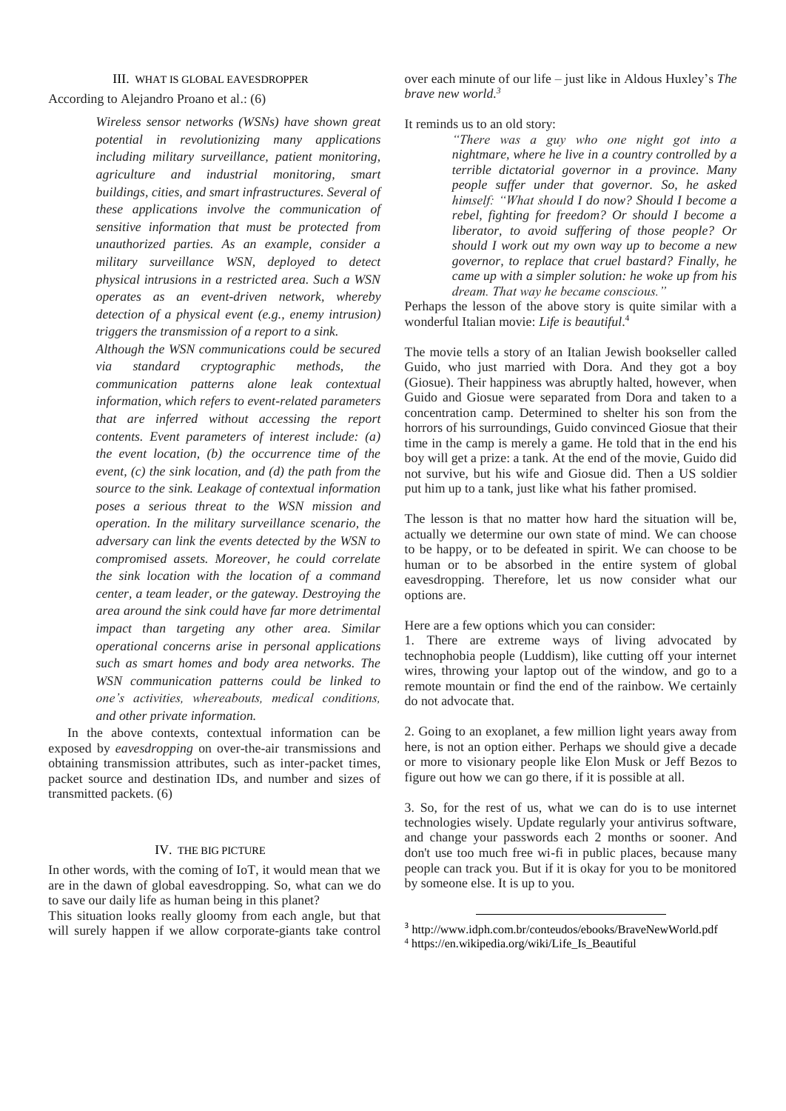# III. WHAT IS GLOBAL EAVESDROPPER

## According to Alejandro Proano et al.: (6)

*Wireless sensor networks (WSNs) have shown great potential in revolutionizing many applications including military surveillance, patient monitoring, agriculture and industrial monitoring, smart buildings, cities, and smart infrastructures. Several of these applications involve the communication of sensitive information that must be protected from unauthorized parties. As an example, consider a military surveillance WSN, deployed to detect physical intrusions in a restricted area. Such a WSN operates as an event-driven network, whereby detection of a physical event (e.g., enemy intrusion) triggers the transmission of a report to a sink.* 

*Although the WSN communications could be secured via standard cryptographic methods, the communication patterns alone leak contextual information, which refers to event-related parameters that are inferred without accessing the report contents. Event parameters of interest include: (a) the event location, (b) the occurrence time of the event, (c) the sink location, and (d) the path from the source to the sink. Leakage of contextual information poses a serious threat to the WSN mission and operation. In the military surveillance scenario, the adversary can link the events detected by the WSN to compromised assets. Moreover, he could correlate the sink location with the location of a command center, a team leader, or the gateway. Destroying the area around the sink could have far more detrimental impact than targeting any other area. Similar operational concerns arise in personal applications such as smart homes and body area networks. The WSN communication patterns could be linked to one's activities, whereabouts, medical conditions, and other private information.*

In the above contexts, contextual information can be exposed by *eavesdropping* on over-the-air transmissions and obtaining transmission attributes, such as inter-packet times, packet source and destination IDs, and number and sizes of transmitted packets. (6)

# IV. THE BIG PICTURE

In other words, with the coming of IoT, it would mean that we are in the dawn of global eavesdropping. So, what can we do to save our daily life as human being in this planet?

This situation looks really gloomy from each angle, but that will surely happen if we allow corporate-giants take control over each minute of our life – just like in Aldous Huxley's *The brave new world. 3*

It reminds us to an old story:

*"There was a guy who one night got into a nightmare, where he live in a country controlled by a terrible dictatorial governor in a province. Many people suffer under that governor. So, he asked himself: "What should I do now? Should I become a rebel, fighting for freedom? Or should I become a liberator, to avoid suffering of those people? Or should I work out my own way up to become a new governor, to replace that cruel bastard? Finally, he came up with a simpler solution: he woke up from his dream. That way he became conscious."*

Perhaps the lesson of the above story is quite similar with a wonderful Italian movie: *Life is beautiful*. 4

The movie tells a story of an Italian Jewish bookseller called Guido, who just married with Dora. And they got a boy (Giosue). Their happiness was abruptly halted, however, when Guido and Giosue were separated from Dora and taken to a concentration camp. Determined to shelter his son from the horrors of his surroundings, Guido convinced Giosue that their time in the camp is merely a game. He told that in the end his boy will get a prize: a tank. At the end of the movie, Guido did not survive, but his wife and Giosue did. Then a US soldier put him up to a tank, just like what his father promised.

The lesson is that no matter how hard the situation will be, actually we determine our own state of mind. We can choose to be happy, or to be defeated in spirit. We can choose to be human or to be absorbed in the entire system of global eavesdropping. Therefore, let us now consider what our options are.

#### Here are a few options which you can consider:

1. There are extreme ways of living advocated by technophobia people (Luddism), like cutting off your internet wires, throwing your laptop out of the window, and go to a remote mountain or find the end of the rainbow. We certainly do not advocate that.

2. Going to an exoplanet, a few million light years away from here, is not an option either. Perhaps we should give a decade or more to visionary people like Elon Musk or Jeff Bezos to figure out how we can go there, if it is possible at all.

3. So, for the rest of us, what we can do is to use internet technologies wisely. Update regularly your antivirus software, and change your passwords each 2 months or sooner. And don't use too much free wi-fi in public places, because many people can track you. But if it is okay for you to be monitored by someone else. It is up to you.

1

<sup>3</sup> http://www.idph.com.br/conteudos/ebooks/BraveNewWorld.pdf <sup>4</sup> https://en.wikipedia.org/wiki/Life\_Is\_Beautiful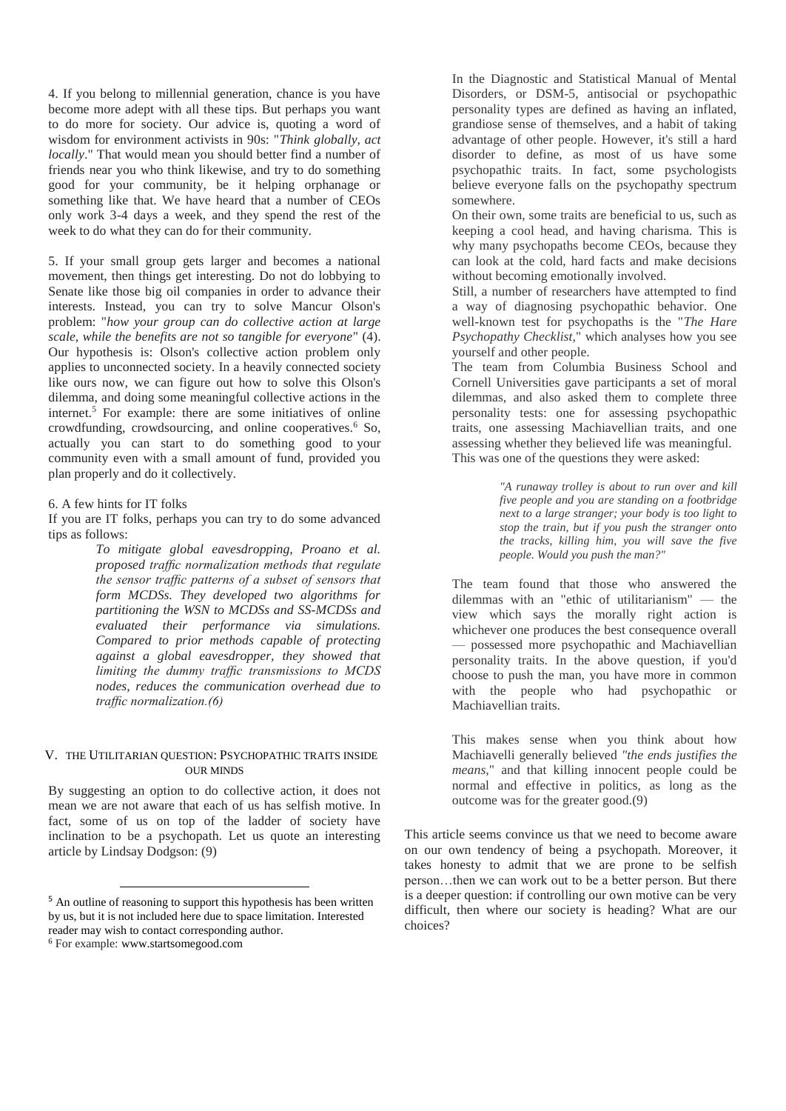4. If you belong to millennial generation, chance is you have become more adept with all these tips. But perhaps you want to do more for society. Our advice is, quoting a word of wisdom for environment activists in 90s: "*Think globally, act locally*." That would mean you should better find a number of friends near you who think likewise, and try to do something good for your community, be it helping orphanage or something like that. We have heard that a number of CEOs only work 3-4 days a week, and they spend the rest of the week to do what they can do for their community.

5. If your small group gets larger and becomes a national movement, then things get interesting. Do not do lobbying to Senate like those big oil companies in order to advance their interests. Instead, you can try to solve Mancur Olson's problem: "*how your group can do collective action at large scale, while the benefits are not so tangible for everyone*" (4). Our hypothesis is: Olson's collective action problem only applies to unconnected society. In a heavily connected society like ours now, we can figure out how to solve this Olson's dilemma, and doing some meaningful collective actions in the internet.<sup>5</sup> For example: there are some initiatives of online crowdfunding, crowdsourcing, and online cooperatives. <sup>6</sup> So, actually you can start to do something good to your community even with a small amount of fund, provided you plan properly and do it collectively.

# 6. A few hints for IT folks

If you are IT folks, perhaps you can try to do some advanced tips as follows:

> *To mitigate global eavesdropping, Proano et al. proposed traffic normalization methods that regulate the sensor traffic patterns of a subset of sensors that form MCDSs. They developed two algorithms for partitioning the WSN to MCDSs and SS-MCDSs and evaluated their performance via simulations. Compared to prior methods capable of protecting against a global eavesdropper, they showed that limiting the dummy traffic transmissions to MCDS nodes, reduces the communication overhead due to traffic normalization.(6)*

# V. THE UTILITARIAN QUESTION: PSYCHOPATHIC TRAITS INSIDE OUR MINDS

By suggesting an option to do collective action, it does not mean we are not aware that each of us has selfish motive. In fact, some of us on top of the ladder of society have inclination to be a psychopath. Let us quote an interesting article by Lindsay Dodgson: (9)

-

In the Diagnostic and Statistical Manual of Mental Disorders, or DSM-5, antisocial or psychopathic personality types are defined as having an inflated, grandiose sense of themselves, and a habit of taking advantage of other people. However, it's still a hard disorder to define, as most of us have some psychopathic traits. In fact, some psychologists believe everyone falls on the psychopathy spectrum somewhere.

On their own, some traits are beneficial to us, such as keeping a cool head, and having charisma. This is why many psychopaths become CEOs, because they can look at the cold, hard facts and make decisions without becoming emotionally involved.

Still, a number of researchers have attempted to find a way of diagnosing psychopathic behavior. One well-known test for psychopaths is the "*The Hare Psychopathy Checklist*," which analyses how you see yourself and other people.

The team from Columbia Business School and Cornell Universities gave participants a set of moral dilemmas, and also asked them to complete three personality tests: one for assessing psychopathic traits, one assessing Machiavellian traits, and one assessing whether they believed life was meaningful. This was one of the questions they were asked:

> *"A runaway trolley is about to run over and kill five people and you are standing on a footbridge next to a large stranger; your body is too light to stop the train, but if you push the stranger onto the tracks, killing him, you will save the five people. Would you push the man?"*

The team found that those who answered the dilemmas with an "ethic of utilitarianism" — the view which says the morally right action is whichever one produces the best consequence overall — possessed more psychopathic and Machiavellian personality traits. In the above question, if you'd choose to push the man, you have more in common with the people who had psychopathic or Machiavellian traits.

This makes sense when you think about how Machiavelli generally believed *"the ends justifies the means*," and that killing innocent people could be normal and effective in politics, as long as the outcome was for the greater good.(9)

This article seems convince us that we need to become aware on our own tendency of being a psychopath. Moreover, it takes honesty to admit that we are prone to be selfish person…then we can work out to be a better person. But there is a deeper question: if controlling our own motive can be very difficult, then where our society is heading? What are our choices?

<sup>&</sup>lt;sup>5</sup> An outline of reasoning to support this hypothesis has been written by us, but it is not included here due to space limitation. Interested reader may wish to contact corresponding author.

<sup>6</sup> For example: www.startsomegood.com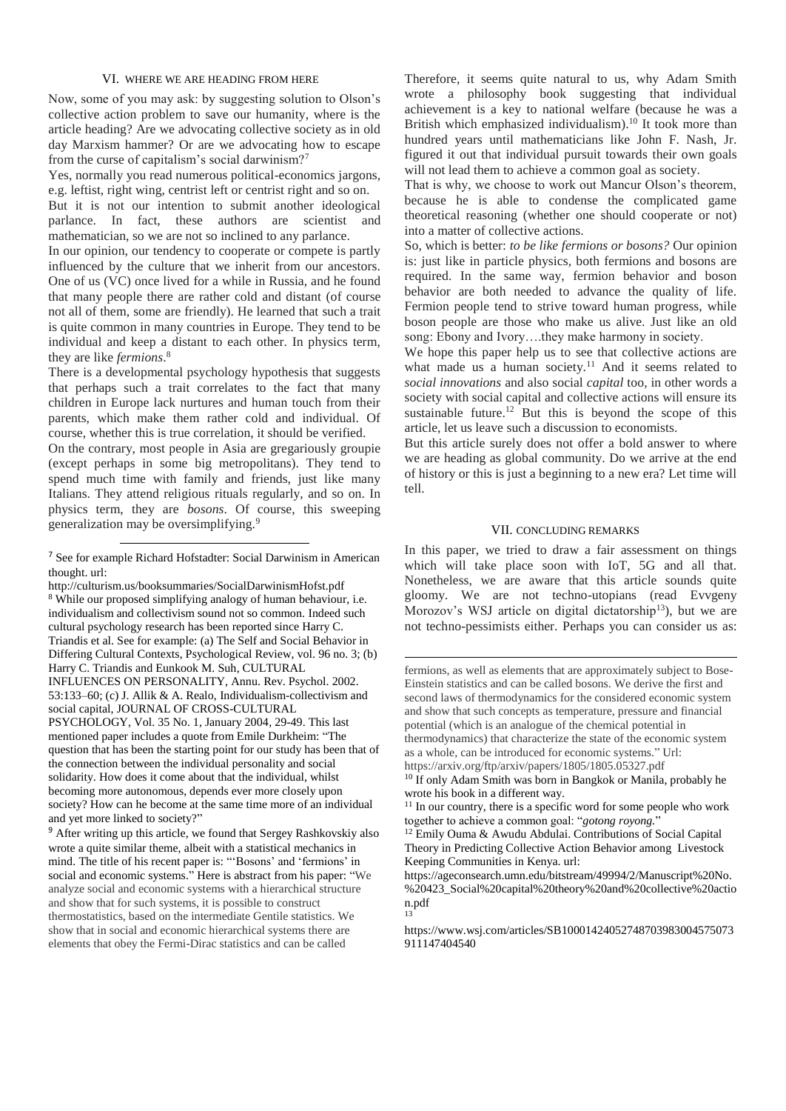# VI. WHERE WE ARE HEADING FROM HERE

Now, some of you may ask: by suggesting solution to Olson's collective action problem to save our humanity, where is the article heading? Are we advocating collective society as in old day Marxism hammer? Or are we advocating how to escape from the curse of capitalism's social darwinism?<sup>7</sup>

Yes, normally you read numerous political-economics jargons, e.g. leftist, right wing, centrist left or centrist right and so on.

But it is not our intention to submit another ideological parlance. In fact, these authors are scientist and mathematician, so we are not so inclined to any parlance.

In our opinion, our tendency to cooperate or compete is partly influenced by the culture that we inherit from our ancestors. One of us (VC) once lived for a while in Russia, and he found that many people there are rather cold and distant (of course not all of them, some are friendly). He learned that such a trait is quite common in many countries in Europe. They tend to be individual and keep a distant to each other. In physics term, they are like *fermions*. 8

There is a developmental psychology hypothesis that suggests that perhaps such a trait correlates to the fact that many children in Europe lack nurtures and human touch from their parents, which make them rather cold and individual. Of course, whether this is true correlation, it should be verified.

On the contrary, most people in Asia are gregariously groupie (except perhaps in some big metropolitans). They tend to spend much time with family and friends, just like many Italians. They attend religious rituals regularly, and so on. In physics term, they are *bosons*. Of course, this sweeping generalization may be oversimplifying.<sup>9</sup>

-

<sup>9</sup> After writing up this article, we found that Sergey Rashkovskiy also wrote a quite similar theme, albeit with a statistical mechanics in mind. The title of his recent paper is: "'Bosons' and 'fermions' in social and economic systems." Here is abstract from his paper: "We analyze social and economic systems with a hierarchical structure and show that for such systems, it is possible to construct thermostatistics, based on the intermediate Gentile statistics. We show that in social and economic hierarchical systems there are elements that obey the Fermi-Dirac statistics and can be called

Therefore, it seems quite natural to us, why Adam Smith wrote a philosophy book suggesting that individual achievement is a key to national welfare (because he was a British which emphasized individualism).<sup>10</sup> It took more than hundred years until mathematicians like John F. Nash, Jr. figured it out that individual pursuit towards their own goals will not lead them to achieve a common goal as society.

That is why, we choose to work out Mancur Olson's theorem, because he is able to condense the complicated game theoretical reasoning (whether one should cooperate or not) into a matter of collective actions.

So, which is better: *to be like fermions or bosons?* Our opinion is: just like in particle physics, both fermions and bosons are required. In the same way, fermion behavior and boson behavior are both needed to advance the quality of life. Fermion people tend to strive toward human progress, while boson people are those who make us alive. Just like an old song: Ebony and Ivory….they make harmony in society.

We hope this paper help us to see that collective actions are what made us a human society.<sup>11</sup> And it seems related to *social innovations* and also social *capital* too, in other words a society with social capital and collective actions will ensure its sustainable future.<sup>12</sup> But this is beyond the scope of this article, let us leave such a discussion to economists.

But this article surely does not offer a bold answer to where we are heading as global community. Do we arrive at the end of history or this is just a beginning to a new era? Let time will tell.

## VII. CONCLUDING REMARKS

In this paper, we tried to draw a fair assessment on things which will take place soon with IoT, 5G and all that. Nonetheless, we are aware that this article sounds quite gloomy. We are not techno-utopians (read Evvgeny Morozov's WSJ article on digital dictatorship<sup>13</sup>), but we are not techno-pessimists either. Perhaps you can consider us as:

1

<sup>7</sup> See for example Richard Hofstadter: Social Darwinism in American thought. url:

http://culturism.us/booksummaries/SocialDarwinismHofst.pdf <sup>8</sup> While our proposed simplifying analogy of human behaviour, i.e. individualism and collectivism sound not so common. Indeed such cultural psychology research has been reported since Harry C. Triandis et al. See for example: (a) The Self and Social Behavior in Differing Cultural Contexts, Psychological Review, vol. 96 no. 3; (b) Harry C. Triandis and Eunkook M. Suh, CULTURAL INFLUENCES ON PERSONALITY, Annu. Rev. Psychol. 2002. 53:133–60; (c) J. Allik & A. Realo, Individualism-collectivism and social capital, JOURNAL OF CROSS-CULTURAL PSYCHOLOGY, Vol. 35 No. 1, January 2004, 29-49. This last mentioned paper includes a quote from Emile Durkheim: "The question that has been the starting point for our study has been that of the connection between the individual personality and social solidarity. How does it come about that the individual, whilst becoming more autonomous, depends ever more closely upon society? How can he become at the same time more of an individual and yet more linked to society?"

fermions, as well as elements that are approximately subject to Bose-Einstein statistics and can be called bosons. We derive the first and second laws of thermodynamics for the considered economic system and show that such concepts as temperature, pressure and financial potential (which is an analogue of the chemical potential in thermodynamics) that characterize the state of the economic system as a whole, can be introduced for economic systems." Url: https://arxiv.org/ftp/arxiv/papers/1805/1805.05327.pdf

<sup>&</sup>lt;sup>10</sup> If only Adam Smith was born in Bangkok or Manila, probably he wrote his book in a different way.

 $11$  In our country, there is a specific word for some people who work together to achieve a common goal: "*gotong royong.*"

<sup>&</sup>lt;sup>12</sup> Emily Ouma & Awudu Abdulai. Contributions of Social Capital Theory in Predicting Collective Action Behavior among Livestock Keeping Communities in Kenya. url:

https://ageconsearch.umn.edu/bitstream/49994/2/Manuscript%20No. %20423\_Social%20capital%20theory%20and%20collective%20actio n.pdf 13

https://www.wsj.com/articles/SB10001424052748703983004575073 911147404540